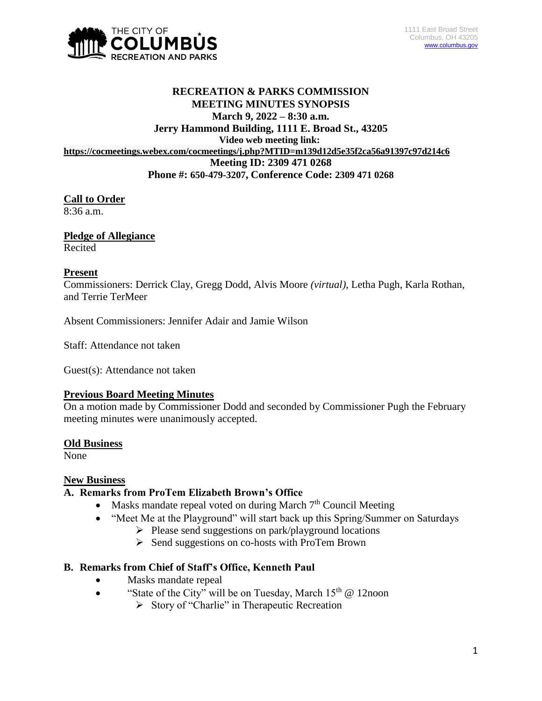

# **RECREATION & PARKS COMMISSION MEETING MINUTES SYNOPSIS March 9, 2022 – 8:30 a.m. Jerry Hammond Building, 1111 E. Broad St., 43205 Video web meeting link: <https://cocmeetings.webex.com/cocmeetings/j.php?MTID=m139d12d5e35f2ca56a91397c97d214c6> Meeting ID: 2309 471 0268 Phone #: 650-479-3207, Conference Code: 2309 471 0268**

# **Call to Order**

8:36 a.m.

# **Pledge of Allegiance**

Recited

### **Present**

Commissioners: Derrick Clay, Gregg Dodd, Alvis Moore *(virtual)*, Letha Pugh, Karla Rothan, and Terrie TerMeer

Absent Commissioners: Jennifer Adair and Jamie Wilson

Staff: Attendance not taken

Guest(s): Attendance not taken

#### **Previous Board Meeting Minutes**

On a motion made by Commissioner Dodd and seconded by Commissioner Pugh the February meeting minutes were unanimously accepted.

#### **Old Business**

None

# **New Business**

# **A. Remarks from ProTem Elizabeth Brown's Office**

- Masks mandate repeal voted on during March  $7<sup>th</sup>$  Council Meeting
- "Meet Me at the Playground" will start back up this Spring/Summer on Saturdays
	- $\triangleright$  Please send suggestions on park/playground locations
	- $\triangleright$  Send suggestions on co-hosts with ProTem Brown

# **B. Remarks from Chief of Staff's Office, Kenneth Paul**

- Masks mandate repeal
- "State of the City" will be on Tuesday, March  $15<sup>th</sup>$  @ 12noon
	- $\triangleright$  Story of "Charlie" in Therapeutic Recreation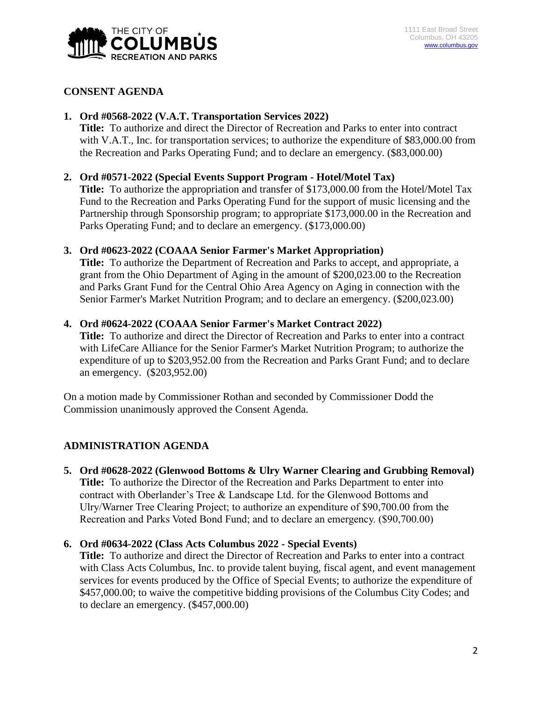

### **CONSENT AGENDA**

# **1. Ord #0568-2022 (V.A.T. Transportation Services 2022)**

**Title:** To authorize and direct the Director of Recreation and Parks to enter into contract with V.A.T., Inc. for transportation services; to authorize the expenditure of \$83,000.00 from the Recreation and Parks Operating Fund; and to declare an emergency. (\$83,000.00)

#### **2. Ord #0571-2022 (Special Events Support Program - Hotel/Motel Tax)**

**Title:** To authorize the appropriation and transfer of \$173,000.00 from the Hotel/Motel Tax Fund to the Recreation and Parks Operating Fund for the support of music licensing and the Partnership through Sponsorship program; to appropriate \$173,000.00 in the Recreation and Parks Operating Fund; and to declare an emergency. (\$173,000.00)

#### **3. Ord #0623-2022 (COAAA Senior Farmer's Market Appropriation)**

**Title:** To authorize the Department of Recreation and Parks to accept, and appropriate, a grant from the Ohio Department of Aging in the amount of \$200,023.00 to the Recreation and Parks Grant Fund for the Central Ohio Area Agency on Aging in connection with the Senior Farmer's Market Nutrition Program; and to declare an emergency. (\$200,023.00)

#### **4. Ord #0624-2022 (COAAA Senior Farmer's Market Contract 2022)**

**Title:** To authorize and direct the Director of Recreation and Parks to enter into a contract with LifeCare Alliance for the Senior Farmer's Market Nutrition Program; to authorize the expenditure of up to \$203,952.00 from the Recreation and Parks Grant Fund; and to declare an emergency. (\$203,952.00)

On a motion made by Commissioner Rothan and seconded by Commissioner Dodd the Commission unanimously approved the Consent Agenda.

# **ADMINISTRATION AGENDA**

**5. Ord #0628-2022 (Glenwood Bottoms & Ulry Warner Clearing and Grubbing Removal) Title:** To authorize the Director of the Recreation and Parks Department to enter into contract with Oberlander's Tree & Landscape Ltd. for the Glenwood Bottoms and Ulry/Warner Tree Clearing Project; to authorize an expenditure of \$90,700.00 from the Recreation and Parks Voted Bond Fund; and to declare an emergency. (\$90,700.00)

#### **6. Ord #0634-2022 (Class Acts Columbus 2022 - Special Events)**

**Title:** To authorize and direct the Director of Recreation and Parks to enter into a contract with Class Acts Columbus, Inc. to provide talent buying, fiscal agent, and event management services for events produced by the Office of Special Events; to authorize the expenditure of \$457,000.00; to waive the competitive bidding provisions of the Columbus City Codes; and to declare an emergency. (\$457,000.00)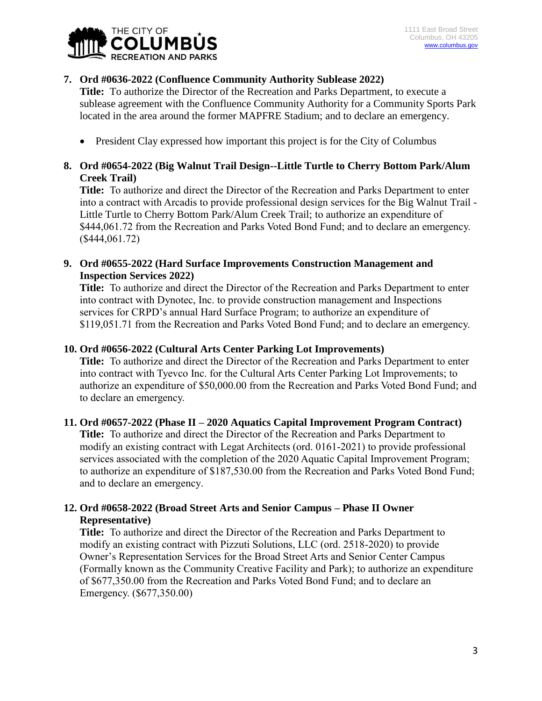

# **7. Ord #0636-2022 (Confluence Community Authority Sublease 2022)**

**Title:** To authorize the Director of the Recreation and Parks Department, to execute a sublease agreement with the Confluence Community Authority for a Community Sports Park located in the area around the former MAPFRE Stadium; and to declare an emergency.

• President Clay expressed how important this project is for the City of Columbus

# **8. Ord #0654-2022 (Big Walnut Trail Design--Little Turtle to Cherry Bottom Park/Alum Creek Trail)**

**Title:** To authorize and direct the Director of the Recreation and Parks Department to enter into a contract with Arcadis to provide professional design services for the Big Walnut Trail - Little Turtle to Cherry Bottom Park/Alum Creek Trail; to authorize an expenditure of \$444,061.72 from the Recreation and Parks Voted Bond Fund; and to declare an emergency. (\$444,061.72)

**9. Ord #0655-2022 (Hard Surface Improvements Construction Management and Inspection Services 2022)**

**Title:** To authorize and direct the Director of the Recreation and Parks Department to enter into contract with Dynotec, Inc. to provide construction management and Inspections services for CRPD's annual Hard Surface Program; to authorize an expenditure of \$119,051.71 from the Recreation and Parks Voted Bond Fund; and to declare an emergency.

### **10. Ord #0656-2022 (Cultural Arts Center Parking Lot Improvements)**

**Title:** To authorize and direct the Director of the Recreation and Parks Department to enter into contract with Tyevco Inc. for the Cultural Arts Center Parking Lot Improvements; to authorize an expenditure of \$50,000.00 from the Recreation and Parks Voted Bond Fund; and to declare an emergency.

# **11. Ord #0657-2022 (Phase II – 2020 Aquatics Capital Improvement Program Contract)**

**Title:** To authorize and direct the Director of the Recreation and Parks Department to modify an existing contract with Legat Architects (ord. 0161-2021) to provide professional services associated with the completion of the 2020 Aquatic Capital Improvement Program; to authorize an expenditure of \$187,530.00 from the Recreation and Parks Voted Bond Fund; and to declare an emergency.

# **12. Ord #0658-2022 (Broad Street Arts and Senior Campus – Phase II Owner Representative)**

**Title:** To authorize and direct the Director of the Recreation and Parks Department to modify an existing contract with Pizzuti Solutions, LLC (ord. 2518-2020) to provide Owner's Representation Services for the Broad Street Arts and Senior Center Campus (Formally known as the Community Creative Facility and Park); to authorize an expenditure of \$677,350.00 from the Recreation and Parks Voted Bond Fund; and to declare an Emergency. (\$677,350.00)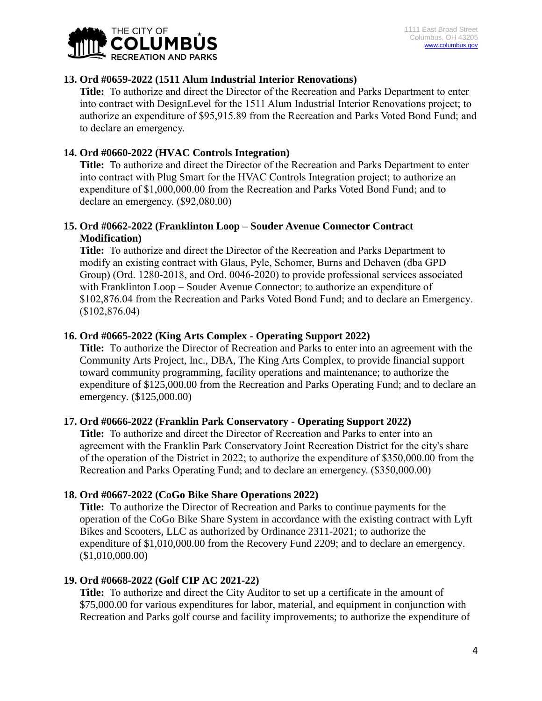

### **13. Ord #0659-2022 (1511 Alum Industrial Interior Renovations)**

**Title:** To authorize and direct the Director of the Recreation and Parks Department to enter into contract with DesignLevel for the 1511 Alum Industrial Interior Renovations project; to authorize an expenditure of \$95,915.89 from the Recreation and Parks Voted Bond Fund; and to declare an emergency.

### **14. Ord #0660-2022 (HVAC Controls Integration)**

**Title:** To authorize and direct the Director of the Recreation and Parks Department to enter into contract with Plug Smart for the HVAC Controls Integration project; to authorize an expenditure of \$1,000,000.00 from the Recreation and Parks Voted Bond Fund; and to declare an emergency. (\$92,080.00)

### **15. Ord #0662-2022 (Franklinton Loop – Souder Avenue Connector Contract Modification)**

**Title:** To authorize and direct the Director of the Recreation and Parks Department to modify an existing contract with Glaus, Pyle, Schomer, Burns and Dehaven (dba GPD Group) (Ord. 1280-2018, and Ord. 0046-2020) to provide professional services associated with Franklinton Loop – Souder Avenue Connector; to authorize an expenditure of \$102,876.04 from the Recreation and Parks Voted Bond Fund; and to declare an Emergency. (\$102,876.04)

### **16. Ord #0665-2022 (King Arts Complex - Operating Support 2022)**

**Title:** To authorize the Director of Recreation and Parks to enter into an agreement with the Community Arts Project, Inc., DBA, The King Arts Complex, to provide financial support toward community programming, facility operations and maintenance; to authorize the expenditure of \$125,000.00 from the Recreation and Parks Operating Fund; and to declare an emergency. (\$125,000.00)

# **17. Ord #0666-2022 (Franklin Park Conservatory - Operating Support 2022)**

**Title:** To authorize and direct the Director of Recreation and Parks to enter into an agreement with the Franklin Park Conservatory Joint Recreation District for the city's share of the operation of the District in 2022; to authorize the expenditure of \$350,000.00 from the Recreation and Parks Operating Fund; and to declare an emergency. (\$350,000.00)

#### **18. Ord #0667-2022 (CoGo Bike Share Operations 2022)**

**Title:** To authorize the Director of Recreation and Parks to continue payments for the operation of the CoGo Bike Share System in accordance with the existing contract with Lyft Bikes and Scooters, LLC as authorized by Ordinance 2311-2021; to authorize the expenditure of \$1,010,000.00 from the Recovery Fund 2209; and to declare an emergency. (\$1,010,000.00)

#### **19. Ord #0668-2022 (Golf CIP AC 2021-22)**

**Title:** To authorize and direct the City Auditor to set up a certificate in the amount of \$75,000.00 for various expenditures for labor, material, and equipment in conjunction with Recreation and Parks golf course and facility improvements; to authorize the expenditure of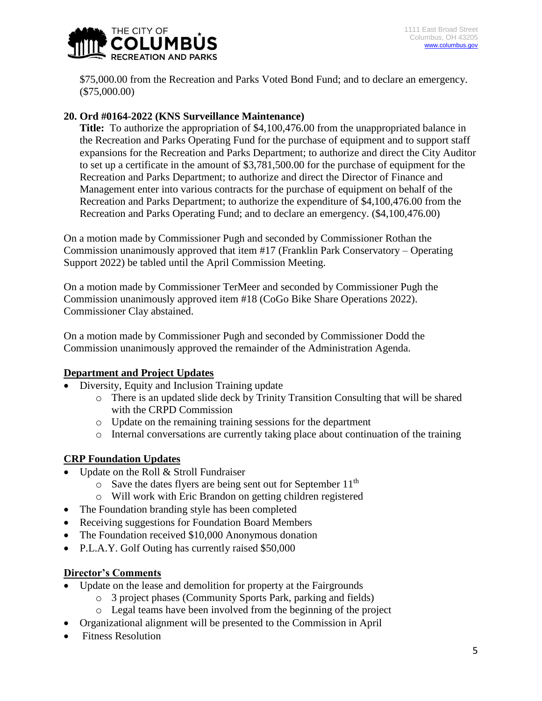

\$75,000.00 from the Recreation and Parks Voted Bond Fund; and to declare an emergency. (\$75,000.00)

# **20. Ord #0164-2022 (KNS Surveillance Maintenance)**

**Title:** To authorize the appropriation of \$4,100,476.00 from the unappropriated balance in the Recreation and Parks Operating Fund for the purchase of equipment and to support staff expansions for the Recreation and Parks Department; to authorize and direct the City Auditor to set up a certificate in the amount of \$3,781,500.00 for the purchase of equipment for the Recreation and Parks Department; to authorize and direct the Director of Finance and Management enter into various contracts for the purchase of equipment on behalf of the Recreation and Parks Department; to authorize the expenditure of \$4,100,476.00 from the Recreation and Parks Operating Fund; and to declare an emergency. (\$4,100,476.00)

On a motion made by Commissioner Pugh and seconded by Commissioner Rothan the Commission unanimously approved that item #17 (Franklin Park Conservatory – Operating Support 2022) be tabled until the April Commission Meeting.

On a motion made by Commissioner TerMeer and seconded by Commissioner Pugh the Commission unanimously approved item #18 (CoGo Bike Share Operations 2022). Commissioner Clay abstained.

On a motion made by Commissioner Pugh and seconded by Commissioner Dodd the Commission unanimously approved the remainder of the Administration Agenda.

# **Department and Project Updates**

- Diversity, Equity and Inclusion Training update
	- o There is an updated slide deck by Trinity Transition Consulting that will be shared with the CRPD Commission
	- o Update on the remaining training sessions for the department
	- o Internal conversations are currently taking place about continuation of the training

# **CRP Foundation Updates**

- Update on the Roll & Stroll Fundraiser
	- $\circ$  Save the dates flyers are being sent out for September 11<sup>th</sup>
	- o Will work with Eric Brandon on getting children registered
- The Foundation branding style has been completed
- Receiving suggestions for Foundation Board Members
- The Foundation received \$10,000 Anonymous donation
- P.L.A.Y. Golf Outing has currently raised \$50,000

# **Director's Comments**

- Update on the lease and demolition for property at the Fairgrounds
	- o 3 project phases (Community Sports Park, parking and fields)
	- o Legal teams have been involved from the beginning of the project
- Organizational alignment will be presented to the Commission in April
- Fitness Resolution